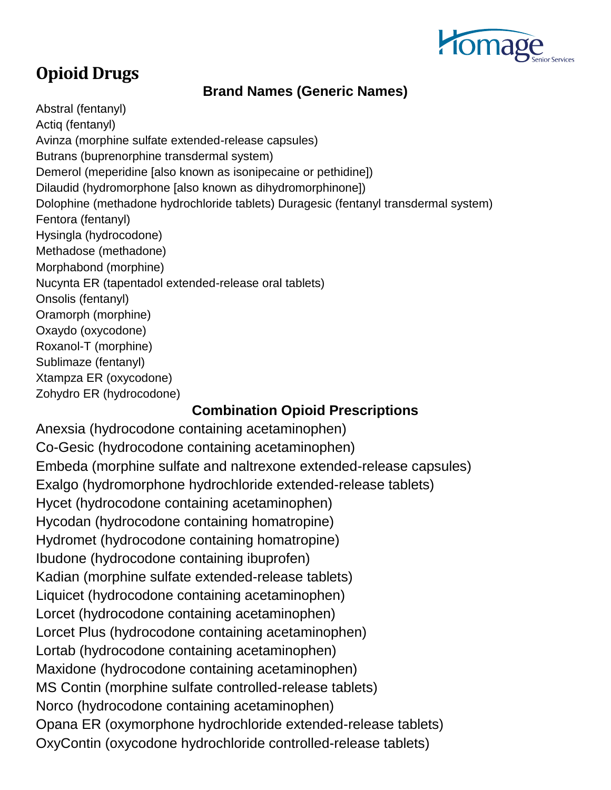

## **Opioid Drugs**

## **Brand Names (Generic Names)**

Abstral (fentanyl) Actiq (fentanyl) Avinza (morphine sulfate extended-release capsules) Butrans (buprenorphine transdermal system) Demerol (meperidine [also known as isonipecaine or pethidine]) Dilaudid (hydromorphone [also known as dihydromorphinone]) Dolophine (methadone hydrochloride tablets) Duragesic (fentanyl transdermal system) Fentora (fentanyl) Hysingla (hydrocodone) Methadose (methadone) Morphabond (morphine) Nucynta ER (tapentadol extended-release oral tablets) Onsolis (fentanyl) Oramorph (morphine) Oxaydo (oxycodone) Roxanol-T (morphine) Sublimaze (fentanyl) Xtampza ER (oxycodone) Zohydro ER (hydrocodone)

## **Combination Opioid Prescriptions**

Anexsia (hydrocodone containing acetaminophen) Co-Gesic (hydrocodone containing acetaminophen) Embeda (morphine sulfate and naltrexone extended-release capsules) Exalgo (hydromorphone hydrochloride extended-release tablets) Hycet (hydrocodone containing acetaminophen) Hycodan (hydrocodone containing homatropine) Hydromet (hydrocodone containing homatropine) Ibudone (hydrocodone containing ibuprofen) Kadian (morphine sulfate extended-release tablets) Liquicet (hydrocodone containing acetaminophen) Lorcet (hydrocodone containing acetaminophen) Lorcet Plus (hydrocodone containing acetaminophen) Lortab (hydrocodone containing acetaminophen) Maxidone (hydrocodone containing acetaminophen) MS Contin (morphine sulfate controlled-release tablets) Norco (hydrocodone containing acetaminophen) Opana ER (oxymorphone hydrochloride extended-release tablets) OxyContin (oxycodone hydrochloride controlled-release tablets)